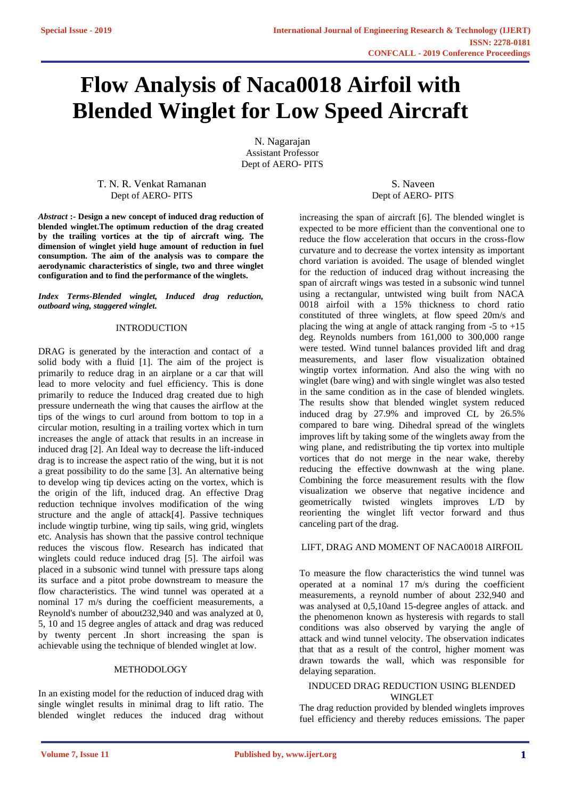# **Flow Analysis of Naca0018 Airfoil with Blended Winglet for Low Speed Aircraft**

N. Nagarajan Assistant Professor Dept of AERO- PITS

T. N. R. Venkat Ramanan Dept of AERO- PITS

*Abstract* **:- Design a new concept of induced drag reduction of blended winglet.The optimum reduction of the drag created by the trailing vortices at the tip of aircraft wing. The dimension of winglet yield huge amount of reduction in fuel consumption. The aim of the analysis was to compare the aerodynamic characteristics of single, two and three winglet configuration and to find the performance of the winglets.**

*Index Terms-Blended winglet, Induced drag reduction, outboard wing, staggered winglet.*

#### INTRODUCTION

DRAG is generated by the interaction and contact of a solid body with a fluid [1]. The aim of the project is primarily to reduce drag in an airplane or a car that will lead to more velocity and fuel efficiency. This is done primarily to reduce the Induced drag created due to high pressure underneath the wing that causes the airflow at the tips of the wings to curl around from bottom to top in a circular motion, resulting in a trailing vortex which in turn increases the angle of attack that results in an increase in induced drag [2]. An Ideal way to decrease the lift-induced drag is to increase the aspect ratio of the wing, but it is not a great possibility to do the same [3]. An alternative being to develop wing tip devices acting on the vortex, which is the origin of the lift, induced drag. An effective Drag reduction technique involves modification of the wing structure and the angle of attack[4]. Passive techniques include wingtip turbine, wing tip sails, wing grid, winglets etc. Analysis has shown that the passive control technique reduces the viscous flow. Research has indicated that winglets could reduce induced drag [5]. The airfoil was placed in a subsonic wind tunnel with pressure taps along its surface and a pitot probe downstream to measure the flow characteristics. The wind tunnel was operated at a nominal 17 m/s during the coefficient measurements, a Reynold's number of about232,940 and was analyzed at 0, 5, 10 and 15 degree angles of attack and drag was reduced by twenty percent .In short increasing the span is achievable using the technique of blended winglet at low.

#### METHODOLOGY

In an existing model for the reduction of induced drag with single winglet results in minimal drag to lift ratio. The blended winglet reduces the induced drag without

S. Naveen Dept of AERO- PITS

increasing the span of aircraft [6]. The blended winglet is expected to be more efficient than the conventional one to reduce the flow acceleration that occurs in the cross-flow curvature and to decrease the vortex intensity as important chord variation is avoided. The usage of blended winglet for the reduction of induced drag without increasing the span of aircraft wings was tested in a subsonic wind tunnel using a rectangular, untwisted wing built from NACA 0018 airfoil with a 15% thickness to chord ratio constituted of three winglets, at flow speed 20m/s and placing the wing at angle of attack ranging from  $-5$  to  $+15$ deg. Reynolds numbers from 161,000 to 300,000 range were tested. Wind tunnel balances provided lift and drag measurements, and laser flow visualization obtained wingtip vortex information. And also the wing with no winglet (bare wing) and with single winglet was also tested in the same condition as in the case of blended winglets. The results show that blended winglet system reduced induced drag by 27.9% and improved CL by 26.5% compared to bare wing. Dihedral spread of the winglets improves lift by taking some of the winglets away from the wing plane, and redistributing the tip vortex into multiple vortices that do not merge in the near wake, thereby reducing the effective downwash at the wing plane. Combining the force measurement results with the flow visualization we observe that negative incidence and geometrically twisted winglets improves L/D by reorienting the winglet lift vector forward and thus canceling part of the drag.

#### LIFT, DRAG AND MOMENT OF NACA0018 AIRFOIL

To measure the flow characteristics the wind tunnel was operated at a nominal 17 m/s during the coefficient measurements, a reynold number of about 232,940 and was analysed at 0,5,10and 15-degree angles of attack. and the phenomenon known as hysteresis with regards to stall conditions was also observed by varying the angle of attack and wind tunnel velocity. The observation indicates that that as a result of the control, higher moment was drawn towards the wall, which was responsible for delaying separation.

## INDUCED DRAG REDUCTION USING BLENDED WINGLET

The drag reduction provided by blended winglets improves fuel efficiency and thereby reduces emissions. The paper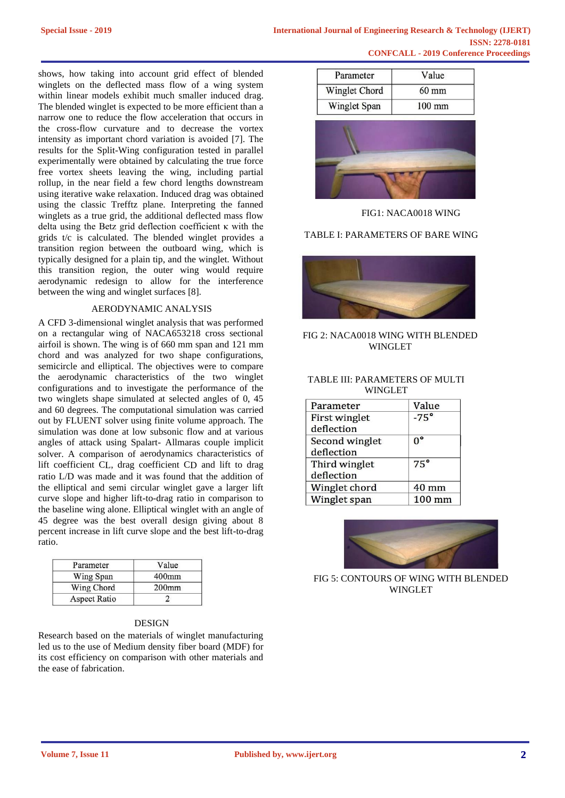shows, how taking into account grid effect of blended winglets on the deflected mass flow of a wing system within linear models exhibit much smaller induced drag. The blended winglet is expected to be more efficient than a narrow one to reduce the flow acceleration that occurs in the cross-flow curvature and to decrease the vortex intensity as important chord variation is avoided [7]. The results for the Split-Wing configuration tested in parallel experimentally were obtained by calculating the true force free vortex sheets leaving the wing, including partial rollup, in the near field a few chord lengths downstream using iterative wake relaxation. Induced drag was obtained using the classic Trefftz plane. Interpreting the fanned winglets as a true grid, the additional deflected mass flow delta using the Betz grid deflection coefficient κ with the grids t/c is calculated. The blended winglet provides a transition region between the outboard wing, which is typically designed for a plain tip, and the winglet. Without this transition region, the outer wing would require aerodynamic redesign to allow for the interference between the wing and winglet surfaces [8].

#### AERODYNAMIC ANALYSIS

A CFD 3-dimensional winglet analysis that was performed on a rectangular wing of NACA653218 cross sectional airfoil is shown. The wing is of 660 mm span and 121 mm chord and was analyzed for two shape configurations, semicircle and elliptical. The objectives were to compare the aerodynamic characteristics of the two winglet configurations and to investigate the performance of the two winglets shape simulated at selected angles of 0, 45 and 60 degrees. The computational simulation was carried out by FLUENT solver using finite volume approach. The simulation was done at low subsonic flow and at various angles of attack using Spalart- Allmaras couple implicit solver. A comparison of aerodynamics characteristics of lift coefficient CL, drag coefficient CD and lift to drag ratio L/D was made and it was found that the addition of the elliptical and semi circular winglet gave a larger lift curve slope and higher lift-to-drag ratio in comparison to the baseline wing alone. Elliptical winglet with an angle of 45 degree was the best overall design giving about 8 percent increase in lift curve slope and the best lift-to-drag ratio.

| Parameter    | Value    |
|--------------|----------|
| Wing Span    | $400$ mm |
| Wing Chord   | $200$ mm |
| Aspect Ratio |          |

## DESIGN

Research based on the materials of winglet manufacturing led us to the use of Medium density fiber board (MDF) for its cost efficiency on comparison with other materials and the ease of fabrication.

| Parameter     | Value           |
|---------------|-----------------|
| Winglet Chord | $60 \text{ mm}$ |
| Winglet Span  | $100$ mm        |



FIG1: NACA0018 WING

TABLE I: PARAMETERS OF BARE WING



# FIG 2: NACA0018 WING WITH BLENDED WINGLET

## TABLE III: PARAMETERS OF MULTI WINGLET

| Parameter            | Value           |
|----------------------|-----------------|
| <b>First winglet</b> | $-75^\circ$     |
| deflection           |                 |
| Second winglet       | $0^{\circ}$     |
| deflection           |                 |
| Third winglet        | $75^\circ$      |
| deflection           |                 |
| Winglet chord        | $40 \text{ mm}$ |
| Winglet span         | $100$ mm        |



FIG 5: CONTOURS OF WING WITH BLENDED WINGLET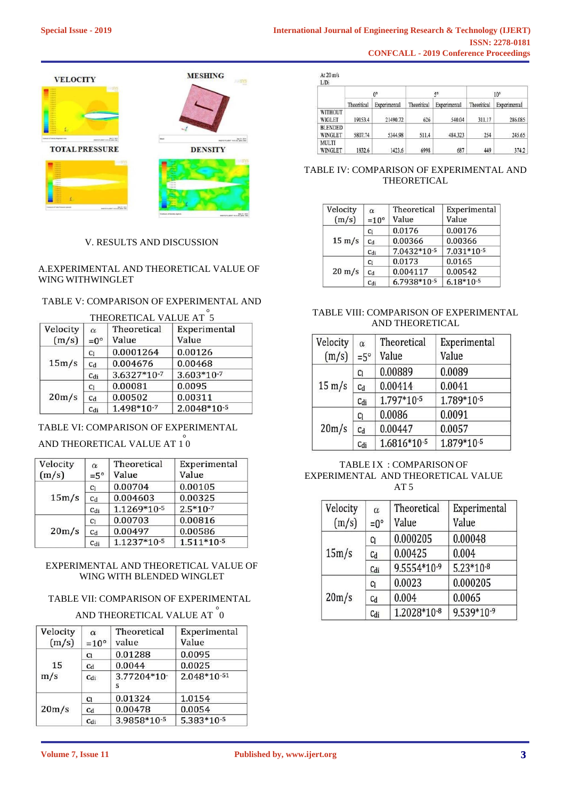

# V. RESULTS AND DISCUSSION

# A.EXPERIMENTAL AND THEORETICAL VALUE OF WING WITHWINGLET

# TABLE V: COMPARISON OF EXPERIMENTAL AND

| Velocity | $\alpha$        | Theoretical | Experimental |
|----------|-----------------|-------------|--------------|
| (m/s)    | $=0^{\circ}$    | Value       | Value        |
| 15m/s    | C <sub>1</sub>  | 0.0001264   | 0.00126      |
|          | C <sub>d</sub>  | 0.004676    | 0.00468      |
|          | C <sub>di</sub> | 3.6327*10-7 | 3.603*10-7   |
| 20m/s    | C <sub>1</sub>  | 0.00081     | 0.0095       |
|          | C <sub>d</sub>  | 0.00502     | 0.00311      |
|          | Cdi             | 1.498*10-7  | 2.0048*10-5  |

# TABLE VI: COMPARISON OF EXPERIMENTAL

# AND THEORETICAL VALUE AT  $\stackrel{\circ}{10}$

| Velocity<br>(m/s) | $\alpha$<br>$=5^\circ$ | Theoretical<br>Value | Experimental<br>Value |
|-------------------|------------------------|----------------------|-----------------------|
| 15m/s             | C <sub>1</sub>         | 0.00704              | 0.00105               |
|                   | C <sub>d</sub>         | 0.004603             | 0.00325               |
|                   | C <sub>di</sub>        | 1.1269*10-5          | $2.5*10-7$            |
| 20m/s             | C <sub>1</sub>         | 0.00703              | 0.00816               |
|                   | C <sub>d</sub>         | 0.00497              | 0.00586               |
|                   | C <sub>di</sub>        | 1.1237*10-5          | $1.511*10-5$          |

# EXPERIMENTAL AND THEORETICAL VALUE OF WING WITH BLENDED WINGLET

# TABLE VII: COMPARISON OF EXPERIMENTAL

# AND THEORETICAL VALUE AT  $\overset{\circ}{0}$

| Velocity<br>(m/s) | $\alpha$<br>$=10^{\circ}$ | Theoretical<br>value | Experimental<br>Value |
|-------------------|---------------------------|----------------------|-----------------------|
|                   | C <sub>1</sub>            | 0.01288              | 0.0095                |
| 15                | C <sub>d</sub>            | 0.0044               | 0.0025                |
| m/s               | Cdi                       | 3.77204*10-<br>5     | 2.048*10-51           |
|                   | C <sub>1</sub>            | 0.01324              | 1.0154                |
| 20m/s             | C <sub>d</sub>            | 0.00478              | 0.0054                |
|                   | Cdi                       | 3.9858*10-5          | 5.383*10-5            |

At 20 m/s

| L/D1                      |             |              |             |              |              |              |
|---------------------------|-------------|--------------|-------------|--------------|--------------|--------------|
|                           | $0^{\circ}$ |              | $5^\circ$   |              | $10^{\circ}$ |              |
|                           | Theoritical | Experimental | Theoritical | Experimental | Theoritical  | Experimental |
| <b>WITHOUT</b><br>WIGLET  | 19153.4     | 21490.72     | 626         | 540.04       | 311.17       | 286.085      |
| <b>BLENDED</b><br>WINGLET | 5807.74     | 5344.98      | 511.4       | 484.323      | 254          | 245.65       |
| <b>MULTI</b><br>WINGLET   | 1832.6      | 1423.6       | 6998        | 687          | 449          | 374.2        |

## TABLE IV: COMPARISON OF EXPERIMENTAL AND THEORETICAL

| Velocity<br>(m/s) | $\alpha$<br>$=10^{\circ}$ | Theoretical<br>Value | Experimental<br>Value |
|-------------------|---------------------------|----------------------|-----------------------|
|                   | C <sub>1</sub>            | 0.0176               | 0.00176               |
| $15 \text{ m/s}$  | C <sub>d</sub>            | 0.00366              | 0.00366               |
|                   | C <sub>di</sub>           | 7.0432*10-5          | $7.031*10-5$          |
| $20 \text{ m/s}$  | C <sub>1</sub>            | 0.0173               | 0.0165                |
|                   | C <sub>d</sub>            | 0.004117             | 0.00542               |
|                   | C <sub>di</sub>           | 6.7938*10-5          | $6.18*10-5$           |

# TABLE VIII: COMPARISON OF EXPERIMENTAL AND THEORETICAL

| Velocity<br>(m/s) | $\alpha$<br>$=5^\circ$ | Theoretical<br>Value | Experimental<br>Value |
|-------------------|------------------------|----------------------|-----------------------|
| $15 \text{ m/s}$  | C <sub>1</sub>         | 0.00889              | 0.0089                |
|                   | C <sub>d</sub>         | 0.00414              | 0.0041                |
|                   | Cdi                    | 1.797*10-5           | 1.789*10-5            |
| 20m/s             | C <sub>1</sub>         | 0.0086               | 0.0091                |
|                   | C <sub>d</sub>         | 0.00447              | 0.0057                |
|                   | C <sub>di</sub>        | 1.6816*10-5          | 1.879*10-5            |

## TABLE IX : COMPARISON OF EXPERIMENTAL AND THEORETICAL VALUE AT 5

| Velocity<br>(m/s) | $\alpha$<br>$=0^{\circ}$ | Theoretical<br>Value | Experimental<br>Value |
|-------------------|--------------------------|----------------------|-----------------------|
| 15m/s             | Cı                       | 0.000205             | 0.00048               |
|                   | C <sub>d</sub>           | 0.00425              | 0.004                 |
|                   | Cdi                      | 9.5554*10-9          | $5.23*10-8$           |
| 20m/s             | C <sub>1</sub>           | 0.0023               | 0.000205              |
|                   | $c_d$                    | 0.004                | 0.0065                |
|                   | Cdi                      | 1.2028*10-8          | 9.539*10-9            |